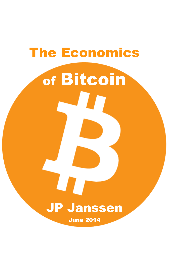# The Economics of Bitcoin JP Janssen

June 2014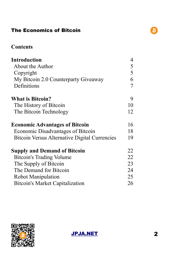#### **Contents**

| <b>Introduction</b>                                  | 4  |
|------------------------------------------------------|----|
| About the Author                                     | 5  |
| Copyright                                            | 5  |
| My Bitcoin 2.0 Counterparty Giveaway                 | 6  |
| Definitions                                          | 7  |
| <b>What is Bitcoin?</b>                              | 9  |
| The History of Bitcoin                               | 10 |
| The Bitcoin Technology                               | 12 |
| <b>Economic Advantages of Bitcoin</b>                | 16 |
| Economic Disadvantages of Bitcoin                    | 18 |
| <b>Bitcoin Versus Alternative Digital Currencies</b> | 19 |
| <b>Supply and Demand of Bitcoin</b>                  | 22 |
| <b>Bitcoin's Trading Volume</b>                      | 22 |
| The Supply of Bitcoin                                | 23 |
| The Demand for Bitcoin                               | 24 |
| Robot Manipulation                                   | 25 |
| <b>Bitcoin's Market Capitalization</b>               | 26 |



[JPJA.NET](http://jpja.net/) 2



 $\boldsymbol{\beta}$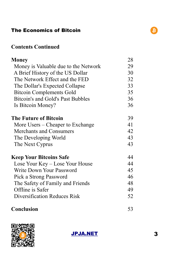#### **Contents Continued**

| <b>Money</b>                         | 28 |
|--------------------------------------|----|
| Money is Valuable due to the Network | 29 |
| A Brief History of the US Dollar     | 30 |
| The Network Effect and the FED       | 32 |
| The Dollar's Expected Collapse       | 33 |
| <b>Bitcoin Complements Gold</b>      | 35 |
| Bitcoin's and Gold's Past Bubbles    | 36 |
| Is Bitcoin Money?                    | 36 |
| <b>The Future of Bitcoin</b>         | 39 |
| More Users – Cheaper to Exchange     | 41 |
| <b>Merchants and Consumers</b>       | 42 |
| The Developing World                 | 43 |
| The Next Cyprus                      | 43 |
| <b>Keep Your Bitcoins Safe</b>       | 44 |
| Lose Your Key – Lose Your House      | 44 |
| Write Down Your Password             | 45 |
| Pick a Strong Password               | 46 |
| The Safety of Family and Friends     | 48 |
| Offline is Safer                     | 49 |
| Diversification Reduces Risk         | 52 |
| <b>Conclusion</b>                    | 53 |



[JPJA.NET](http://jpja.net/) 3

 $\boldsymbol{\beta}$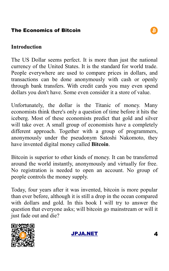#### **Introduction**

The US Dollar seems perfect. It is more than just the national currency of the United States. It is the standard for world trade. People everywhere are used to compare prices in dollars, and transactions can be done anonymously with cash or openly through bank transfers. With credit cards you may even spend dollars you don't have. Some even consider it a store of value.

Unfortunately, the dollar is the Titanic of money. Many economists think there's only a question of time before it hits the iceberg. Most of these economists predict that gold and silver will take over. A small group of economists have a completely different approach. Together with a group of programmers, anonymously under the pseudonym Satoshi Nakomoto, they have invented digital money called **Bitcoin**.

Bitcoin is superior to other kinds of money. It can be transferred around the world instantly, anonymously and virtually for free. No registration is needed to open an account. No group of people controls the money supply.

Today, four years after it was invented, bitcoin is more popular than ever before, although it is still a drop in the ocean compared with dollars and gold. In this book I will try to answer the question that everyone asks; will bitcoin go mainstream or will it just fade out and die?





B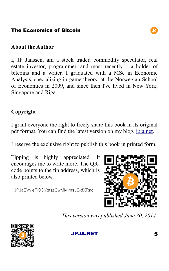#### **About the Author**

I, JP Janssen, am a stock trader, commodity speculator, real estate investor, programmer, and most recently – a holder of bitcoins and a writer. I graduated with a MSc in Economic Analysis, specializing in game theory, at the Norwegian School of Economics in 2009, and since then I've lived in New York, Singapore and Riga.

# **Copyright**

I grant everyone the right to freely share this book in its original pdf format. You can find the latest version on my blog, [jpja.net.](http://jpja.net/)

I reserve the exclusive right to publish this book in printed form.

Tipping is highly appreciated. It encourages me to write more. The QRcode points to the tip address, which is also printed below.

1JPJaEVyieFi93YgtszCwMMjmsJGxfXRag

*This version was published June 30, 2014.*





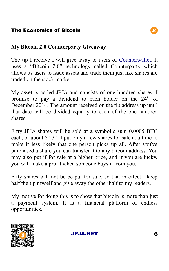#### **My Bitcoin 2.0 Counterparty Giveaway**

The tip I receive I will give away to users of [Counterwallet.](https://counterwallet.co/) It uses a "Bitcoin 2.0" technology called Counterparty which allows its users to issue assets and trade them just like shares are traded on the stock market.

My asset is called JPJA and consists of one hundred shares. I promise to pay a dividend to each holder on the  $24<sup>th</sup>$  of December 2014. The amount received on the tip address up until that date will be divided equally to each of the one hundred shares.

Fifty JPJA shares will be sold at a symbolic sum 0.0005 BTC each, or about \$0.30. I put only a few shares for sale at a time to make it less likely that one person picks up all. After you've purchased a share you can transfer it to any bitcoin address. You may also put if for sale at a higher price, and if you are lucky, you will make a profit when someone buys it from you.

Fifty shares will not be be put for sale, so that in effect I keep half the tip myself and give away the other half to my readers.

My motive for doing this is to show that bitcoin is more than just a payment system. It is a financial platform of endless opportunities.



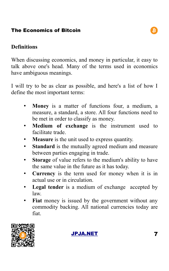#### **Definitions**

When discussing economics, and money in particular, it easy to talk above one's head. Many of the terms used in economics have ambiguous meanings.

I will try to be as clear as possible, and here's a list of how I define the most important terms:

- **Money** is a matter of functions four, a medium, a measure, a standard, a store. All four functions need to be met in order to classify as money.
- **Medium of exchange** is the instrument used to facilitate trade.
- **Measure** is the unit used to express quantity.
- **Standard** is the mutually agreed medium and measure between parties engaging in trade.
- **Storage** of value refers to the medium's ability to have the same value in the future as it has today.
- **Currency** is the term used for money when it is in actual use or in circulation.
- **Legal tender** is a medium of exchange accepted by law.
- **Fiat** money is issued by the government without any commodity backing. All national currencies today are fiat.



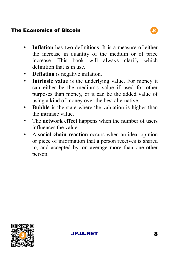- **Inflation** has two definitions. It is a measure of either the increase in quantity of the medium or of price increase. This book will always clarify which definition that is in use.
- **Deflation** is negative inflation.
- **Intrinsic value** is the underlying value. For money it can either be the medium's value if used for other purposes than money, or it can be the added value of using a kind of money over the best alternative.
- **Bubble** is the state where the valuation is higher than the intrinsic value.
- The **network effect** happens when the number of users influences the value.
- A **social chain reaction** occurs when an idea, opinion or piece of information that a person receives is shared to, and accepted by, on average more than one other person.



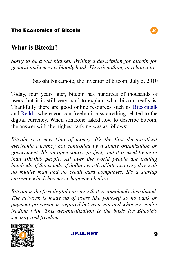# **What is Bitcoin?**

*Sorry to be a wet blanket. Writing a description for bitcoin for general audiences is bloody hard. There's nothing to relate it to.*

– Satoshi Nakamoto, the inventor of bitcoin, July 5, 2010

Today, four years later, bitcoin has hundreds of thousands of users, but it is still very hard to explain what bitcoin really is. Thankfully there are good online resources such as [Bitcointalk](https://bitcointalk.org/) and [Reddit](http://www.reddit.com/r/Bitcoin/) where you can freely discuss anything related to the digital currency. When someone asked how to describe bitcoin, the answer with the highest ranking was as follows:

*Bitcoin is a new kind of money. It's the first decentralized electronic currency not controlled by a single organization or government. It's an open source project, and it is used by more than 100,000 people. All over the world people are trading hundreds of thousands of dollars worth of bitcoin every day with no middle man and no credit card companies. It's a startup currency which has never happened before.*

*Bitcoin is the first digital currency that is completely distributed. The network is made up of users like yourself so no bank or payment processor is required between you and whoever you're trading with. This decentralization is the basis for Bitcoin's security and freedom.*



[JPJA.NET](http://jpja.net/) 9

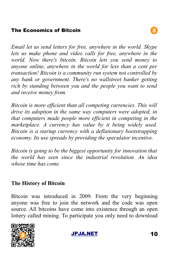*Email let us send letters for free, anywhere in the world. Skype lets us make phone and video calls for free, anywhere in the world. Now there's bitcoin. Bitcoin lets you send money to anyone online, anywhere in the world for less than a cent per transaction! Bitcoin is a community run system not controlled by any bank or government. There's no wallstreet banker getting rich by standing between you and the people you want to send and receive money from.*

*Bitcoin is more efficient than all competing currencies. This will drive its adoption in the same way computers were adopted, in that computers made people more efficient in competing in the marketplace. A currency has value by it being widely used. Bitcoin is a startup currency with a deflationary bootstrapping economy. Its use spreads by providing the speculator incentive.*

*Bitcoin is going to be the biggest opportunity for innovation that the world has seen since the industrial revolution. An idea whose time has come.*

#### **The History of Bitcoin**

Bitcoin was introduced in 2009. From the very beginning anyone was free to join the network and the code was open source. All bitcoins have come into existence through an open lottery called mining. To participate you only need to download



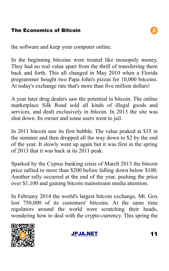the software and keep your computer online.

In the beginning bitcoins were treated like monopoly money. They had no real value apart from the thrill of transferring them back and forth. This all changed in May 2010 when a Florida programmer bought two Papa John's pizzas for 10,000 bitcoins. At today's exchange rate that's more than five million dollars!

A year later drug dealers saw the potential in bitcoin. The online marketplace Silk Road sold all kinds of illegal goods and services, and dealt exclusively in bitcoin. In 2013 the site was shut down. Its owner and some users went to jail.

In 2011 bitcoin saw its first bubble. The value peaked at \$35 in the summer and then dropped all the way down to \$2 by the end of the year. It slowly went up again but it was first in the spring of 2013 that it was back at its 2011 peak.

Sparked by the Cyprus banking crisis of March 2013 the bitcoin price rallied to more than \$200 before falling down below \$100. Another rally occurred at the end of the year, pushing the price over \$1,100 and gaining bitcoin mainstream media attention.

In February 2014 the world's largest bitcoin exchange, Mt. Gox lost 750,000 of its customers' bitcoins. At the same time regulators around the world were scratching their heads, wondering how to deal with the crypto-currency. This spring the



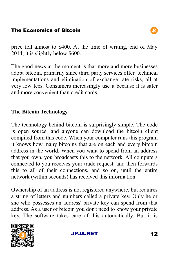price fell almost to \$400. At the time of writing, end of May 2014, it is slightly below \$600.

The good news at the moment is that more and more businesses adopt bitcoin, primarily since third party services offer technical implementations and elimination of exchange rate risks, all at very low fees. Consumers increasingly use it because it is safer and more convenient than credit cards.

# **The Bitcoin Technology**

The technology behind bitcoin is surprisingly simple. The code is open source, and anyone can download the bitcoin client compiled from this code. When your computer runs this program it knows how many bitcoins that are on each and every bitcoin address in the world. When you want to spend from an address that you own, you broadcasts this to the network. All computers connected to you receives your trade request, and then forwards this to all of their connections, and so on, until the entire network (within seconds) has received this information.

Ownership of an address is not registered anywhere, but requires a string of letters and numbers called a private key. Only he or she who possesses an address' private key can spend from that address. As a user of bitcoin you don't need to know your private key. The software takes care of this automatically. But it is



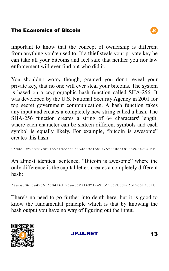important to know that the concept of ownership is different from anything you're used to. If a thief steals your private key he can take all your bitcoins and feel safe that neither you nor law enforcement will ever find out who did it.

You shouldn't worry though, granted you don't reveal your private key, that no one will ever steal your bitcoins. The system is based on a cryptographic hash function called SHA-256. It was developed by the U.S. National Security Agency in 2001 for top secret government communication. A hash function takes any input and creates a completely new string called a hash. The SHA-256 function creates a string of 64 characters' length, where each character can be sixteen different symbols and each symbol is equally likely. For example, "bitcoin is awesome" creates this hash:

```
23d4a09295be678b21a5f1dceae1f634a69c1b41775f680ebf8165266471401b
```
An almost identical sentence, "Bitcoin is awesome" where the only difference is the capital letter, creates a completely different hash:

```
3aace886fca42c6f358474df26aa6623149219e9fb11557b6dbd3bf5c3f38cfb
```
There's no need to go further into depth here, but it is good to know the fundamental principle which is that by knowing the hash output you have no way of figuring out the input.



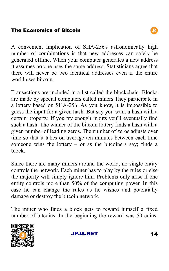A convenient implication of SHA-256's astronomically high number of combinations is that new addresses can safely be generated offline. When your computer generates a new address it assumes no one uses the same address. Statisticians agree that there will never be two identical addresses even if the entire world uses bitcoin.

Transactions are included in a list called the blockchain. Blocks are made by special computers called miners They participate in a lottery based on SHA-256. As you know, it is impossible to guess the input for a given hash. But say you want a hash with a certain property. If you try enough inputs you'll eventually find such a hash. The winner of the bitcoin lottery finds a hash with a given number of leading zeros. The number of zeros adjusts over time so that it takes on average ten minutes between each time someone wins the lottery  $-$  or as the bitcoiners say; finds a block.

Since there are many miners around the world, no single entity controls the network. Each miner has to play by the rules or else the majority will simply ignore him. Problems only arise if one entity controls more than 50% of the computing power. In this case he can change the rules as he wishes and potentially damage or destroy the bitcoin network.

The miner who finds a block gets to reward himself a fixed number of bitcoins. In the beginning the reward was 50 coins.



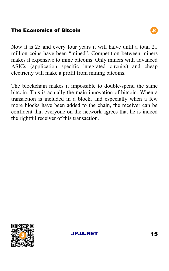Now it is 25 and every four years it will halve until a total 21 million coins have been "mined". Competition between miners makes it expensive to mine bitcoins. Only miners with advanced ASICs (application specific integrated circuits) and cheap electricity will make a profit from mining bitcoins.

The blockchain makes it impossible to double-spend the same bitcoin. This is actually the main innovation of bitcoin. When a transaction is included in a block, and especially when a few more blocks have been added to the chain, the receiver can be confident that everyone on the network agrees that he is indeed the rightful receiver of this transaction.



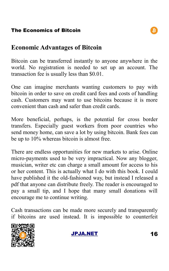# **Economic Advantages of Bitcoin**

Bitcoin can be transferred instantly to anyone anywhere in the world. No registration is needed to set up an account. The transaction fee is usually less than \$0.01.

One can imagine merchants wanting customers to pay with bitcoin in order to save on credit card fees and costs of handling cash. Customers may want to use bitcoins because it is more convenient than cash and safer than credit cards.

More beneficial, perhaps, is the potential for cross border transfers. Especially guest workers from poor countries who send money home, can save a lot by using bitcoin. Bank fees can be up to 10% whereas bitcoin is almost free.

There are endless opportunities for new markets to arise. Online micro-payments used to be very impractical. Now any blogger, musician, writer etc can charge a small amount for access to his or her content. This is actually what I do with this book. I could have published it the old-fashioned way, but instead I released a pdf that anyone can distribute freely. The reader is encouraged to pay a small tip, and I hope that many small donations will encourage me to continue writing.

Cash transactions can be made more securely and transparently if bitcoins are used instead. It is impossible to counterfeit





B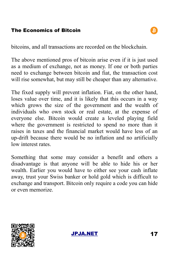bitcoins, and all transactions are recorded on the blockchain.

The above mentioned pros of bitcoin arise even if it is just used as a medium of exchange, not as money. If one or both parties need to exchange between bitcoin and fiat, the transaction cost will rise somewhat, but may still be cheaper than any alternative.

The fixed supply will prevent inflation. Fiat, on the other hand, loses value over time, and it is likely that this occurs in a way which grows the size of the government and the wealth of individuals who own stock or real estate, at the expense of everyone else. Bitcoin would create a leveled playing field where the government is restricted to spend no more than it raises in taxes and the financial market would have less of an up-drift because there would be no inflation and no artificially low interest rates.

Something that some may consider a benefit and others a disadvantage is that anyone will be able to hide his or her wealth. Earlier you would have to either see your cash inflate away, trust your Swiss banker or hold gold which is difficult to exchange and transport. Bitcoin only require a code you can hide or even memorize.



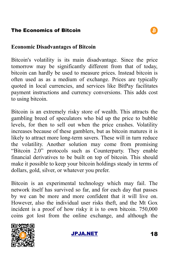#### **Economic Disadvantages of Bitcoin**

Bitcoin's volatility is its main disadvantage. Since the price tomorrow may be significantly different from that of today, bitcoin can hardly be used to measure prices. Instead bitcoin is often used as as a medium of exchange. Prices are typically quoted in local currencies, and services like BitPay facilitates payment instructions and currency conversions. This adds cost to using bitcoin.

Bitcoin is an extremely risky store of wealth. This attracts the gambling breed of speculators who bid up the price to bubble levels, for then to sell out when the price crashes. Volatility increases because of these gamblers, but as bitcoin matures it is likely to attract more long-term savers. These will in turn reduce the volatility. Another solution may come from promising "Bitcoin 2.0" protocols such as Counterparty. They enable financial derivatives to be built on top of bitcoin. This should make it possible to keep your bitcoin holdings steady in terms of dollars, gold, silver, or whatever you prefer.

Bitcoin is an experimental technology which may fail. The network itself has survived so far, and for each day that passes by we can be more and more confident that it will live on. However, also the individual user risks theft, and the Mt Gox incident is a proof of how risky it is to own bitcoin. 750,000 coins got lost from the online exchange, and although the



[JPJA.NET](http://jpja.net/) 18

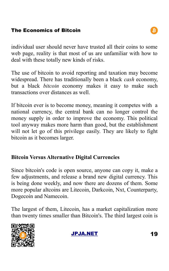individual user should never have trusted all their coins to some web page, reality is that most of us are unfamiliar with how to deal with these totally new kinds of risks.

The use of bitcoin to avoid reporting and taxation may become widespread. There has traditionally been a black *cash* economy, but a black *bitcoin* economy makes it easy to make such transactions over distances as well.

If bitcoin ever is to become money, meaning it competes with a national currency, the central bank can no longer control the money supply in order to improve the economy. This political tool anyway makes more harm than good, but the establishment will not let go of this privilege easily. They are likely to fight bitcoin as it becomes larger.

### **Bitcoin Versus Alternative Digital Currencies**

Since bitcoin's code is open source, anyone can copy it, make a few adjustments, and release a brand new digital currency. This is being done weekly, and now there are dozens of them. Some more popular altcoins are Litecoin, Darkcoin, Nxt, Counterparty, Dogecoin and Namecoin.

The largest of them, Litecoin, has a market capitalization more than twenty times smaller than Bitcoin's. The third largest coin is



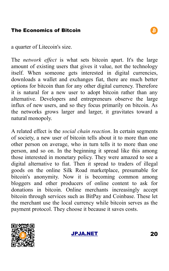a quarter of Litecoin's size.

The *network effect* is what sets bitcoin apart. It's the large amount of existing users that gives it value, not the technology itself. When someone gets interested in digital currencies, downloads a wallet and exchanges fiat, there are much better options for bitcoin than for any other digital currency. Therefore it is natural for a new user to adopt bitcoin rather than any alternative. Developers and entrepreneurs observe the large influx of new users, and so they focus primarily on bitcoin. As the networks grows larger and larger, it gravitates toward a natural monopoly.

A related effect is the *social chain reaction*. In certain segments of society, a new user of bitcoin tells about it to more than one other person on average, who in turn tells it to more than one person, and so on. In the beginning it spread like this among those interested in monetary policy. They were amazed to see a digital alternative to fiat. Then it spread to traders of illegal goods on the online Silk Road marketplace, presumable for bitcoin's anonymity. Now it is becoming common among bloggers and other producers of online content to ask for donations in bitcoin. Online merchants increasingly accept bitcoin through services such as BitPay and Coinbase. These let the merchant use the local currency while bitcoin serves as the payment protocol. They choose it because it saves costs.



[JPJA.NET](http://jpja.net/) 20

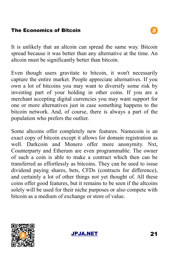It is unlikely that an altcoin can spread the same way. Bitcoin spread because it was better than any alternative at the time. An altcoin must be significantly better than bitcoin.

Even though users gravitate to bitcoin, it won't necessarily capture the entire market. People appreciate alternatives. If you own a lot of bitcoins you may want to diversify some risk by investing part of your holding in other coins. If you are a merchant accepting digital currencies you may want support for one or more alternatives just in case something happens to the bitcoin network. And, of course, there is always a part of the population who prefers the outlier.

Some altcoins offer completely new features. Namecoin is an exact copy of bitcoin except it allows for domain registration as well. Darkcoin and Monero offer more anonymity. Nxt, Counterparty and Etherum are even programmable. The owner of such a coin is able to make a contract which then can be transferred as effortlessly as bitcoins. They can be used to issue dividend paying shares, bets, CFDs (contracts for difference), and certainly a lot of other things not yet thought of. All these coins offer good features, but it remains to be seen if the altcoins solely will be used for their niche purposes or also compete with bitcoin as a medium of exchange or store of value.



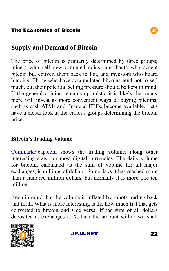

The price of bitcoin is primarily determined by three groups; miners who sell newly minted coins, merchants who accept bitcoin but convert them back to fiat, and investors who hoard bitcoins. Those who have accumulated bitcoins tend not to sell much, but their potential selling pressure should be kept in mind. If the general opinion remains optimistic it is likely that many more will invest as more convenient ways of buying bitcoins, such as cash ATMs and financial ETFs, become available. Let's have a closer look at the various groups determining the bitcoin price.

#### **Bitcoin's Trading Volume**

[Coinmarketcap.com](http://coinmarketcap.com/) shows the trading volume, along other interesting stats, for most digital currencies. The daily volume for bitcoin, calculated as the sum of volume for all major exchanges, is millions of dollars. Some days it has reached more than a hundred million dollars, but normally it is more like ten million.

Keep in mind that the volume is inflated by robots trading back and forth. What is more interesting is the how much fiat that gets converted to bitcoin and vice versa. If the sum of all dollars deposited at exchanges is X, then the amount withdrawn shall





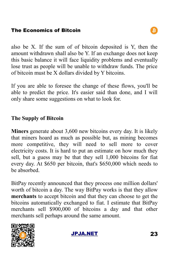also be X. If the sum of of bitcoin deposited is Y, then the amount withdrawn shall also be Y. If an exchange does not keep this basic balance it will face liquidity problems and eventually lose trust as people will be unable to withdraw funds. The price of bitcoin must be X dollars divided by Y bitcoins.

If you are able to foresee the change of these flows, you'll be able to predict the price. It's easier said than done, and I will only share some suggestions on what to look for.

# **The Supply of Bitcoin**

**Miners** generate about 3,600 new bitcoins every day. It is likely that miners hoard as much as possible but, as mining becomes more competitive, they will need to sell more to cover electricity costs. It is hard to put an estimate on how much they sell, but a guess may be that they sell 1,000 bitcoins for fiat every day. At \$650 per bitcoin, that's \$650,000 which needs to be absorbed.

BitPay recently announced that they process one million dollars' worth of bitcoin a day. The way BitPay works is that they allow **merchants** to accept bitcoin and that they can choose to get the bitcoins automatically exchanged to fiat. I estimate that BitPay merchants sell \$900,000 of bitcoins a day and that other merchants sell perhaps around the same amount.



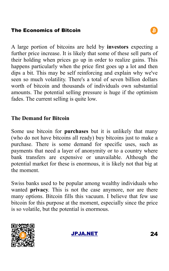A large portion of bitcoins are held by **investors** expecting a further price increase. It is likely that some of these sell parts of their holding when prices go up in order to realize gains. This happens particularly when the price first goes up a lot and then dips a bit. This may be self reinforcing and explain why we've seen so much volatility. There's a total of seven billion dollars worth of bitcoin and thousands of individuals own substantial amounts. The potential selling pressure is huge if the optimism fades. The current selling is quite low.

#### **The Demand for Bitcoin**

Some use bitcoin for **purchases** but it is unlikely that many (who do not have bitcoins all ready) buy bitcoins just to make a purchase. There is some demand for specific uses, such as payments that need a layer of anonymity or to a country where bank transfers are expensive or unavailable. Although the potential market for these is enormous, it is likely not that big at the moment.

Swiss banks used to be popular among wealthy individuals who wanted **privacy**. This is not the case anymore, nor are there many options. Bitcoin fills this vacuum. I believe that few use bitcoin for this purpose at the moment, especially since the price is so volatile, but the potential is enormous.



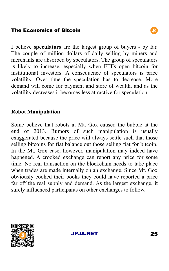I believe **speculators** are the largest group of buyers - by far. The couple of million dollars of daily selling by miners and merchants are absorbed by speculators. The group of speculators is likely to increase, especially when ETFs open bitcoin for institutional investors. A consequence of speculators is price volatility. Over time the speculation has to decrease. More demand will come for payment and store of wealth, and as the volatility decreases it becomes less attractive for speculation.

# **Robot Manipulation**

Some believe that robots at Mt. Gox caused the bubble at the end of 2013. Rumors of such manipulation is usually exaggerated because the price will always settle such that those selling bitcoins for fiat balance out those selling fiat for bitcoin. In the Mt. Gox case, however, manipulation may indeed have happened. A crooked exchange can report any price for some time. No real transaction on the blockchain needs to take place when trades are made internally on an exchange. Since Mt. Gox obviously cooked their books they could have reported a price far off the real supply and demand. As the largest exchange, it surely influenced participants on other exchanges to follow.



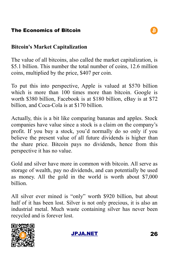### **Bitcoin's Market Capitalization**

The value of all bitcoins, also called the market capitalization, is \$5.1 billion. This number the total number of coins, 12.6 million coins, multiplied by the price, \$407 per coin.

To put this into perspective, Apple is valued at \$570 billion which is more than 100 times more than bitcoin. Google is worth \$380 billion, Facebook is at \$180 billion, eBay is at \$72 billion, and Coca-Cola is at \$170 billion.

Actually, this is a bit like comparing bananas and apples. Stock companies have value since a stock is a claim on the company's profit. If you buy a stock, you'd normally do so only if you believe the present value of all future dividends is higher than the share price. Bitcoin pays no dividends, hence from this perspective it has no value.

Gold and silver have more in common with bitcoin. All serve as storage of wealth, pay no dividends, and can potentially be used as money. All the gold in the world is worth about \$7,000 billion.

All silver ever mined is "only" worth \$920 billion, but about half of it has been lost. Silver is not only precious, it is also an industrial metal. Much waste containing silver has never been recycled and is forever lost.



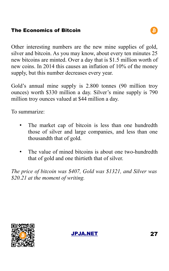Other interesting numbers are the new mine supplies of gold, silver and bitcoin. As you may know, about every ten minutes 25 new bitcoins are minted. Over a day that is \$1.5 million worth of new coins. In 2014 this causes an inflation of 10% of the money supply, but this number decreases every year.

Gold's annual mine supply is 2.800 tonnes (90 million troy ounces) worth \$330 million a day. Silver's mine supply is 790 million troy ounces valued at \$44 million a day.

To summarize:

- The market cap of bitcoin is less than one hundredth those of silver and large companies, and less than one thousandth that of gold.
- The value of mined bitcoins is about one two-hundredth that of gold and one thirtieth that of silver.

*The price of bitcoin was \$407, Gold was \$1321, and Silver was \$20.21 at the moment of writing.*



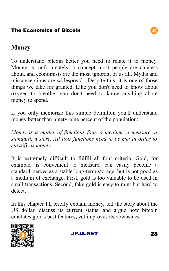

# **Money**

To understand bitcoin better you need to relate it to money. Money is, unfortunately, a concept most people are clueless about, and economists are the most ignorant of us all. Myths and misconceptions are widespread. Despite this, it is one of those things we take for granted. Like you don't need to know about oxygen to breathe, you don't need to know anything about money to spend.

If you only memorize this simple definition you'll understand money better than ninety-nine percent of the population:

*Money is a matter of functions four, a medium, a measure, a standard, a store. All four functions need to be met in order to classify as money.*

It is extremely difficult to fulfill all four criteria. Gold, for example, is convenient to measure, can easily become a standard, serves as a stable long-term storage, but is not good as a medium of exchange. First, gold is too valuable to be used in small transactions. Second, fake gold is easy to mint but hard to detect.

In this chapter I'll briefly explain money, tell the story about the US dollar, discuss its current status, and argue how bitcoin emulates gold's best features, yet improves its downsides.



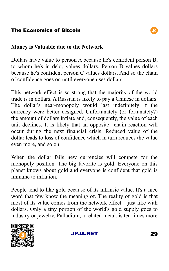#### **Money is Valuable due to the Network**

Dollars have value to person A because he's confident person B, to whom he's in debt, values dollars. Person B values dollars because he's confident person C values dollars. And so the chain of confidence goes on until everyone uses dollars.

This network effect is so strong that the majority of the world trade is in dollars. A Russian is likely to pay a Chinese in dollars. The dollar's near-monopoly would last indefinitely if the currency were better designed. Unfortunately (or fortunately?) the amount of dollars inflate and, consequently, the value of each unit declines. It is likely that an opposite chain reaction will occur during the next financial crisis. Reduced value of the dollar leads to loss of confidence which in turn reduces the value even more, and so on.

When the dollar fails new currencies will compete for the monopoly position. The big favorite is gold. Everyone on this planet knows about gold and everyone is confident that gold is immune to inflation.

People tend to like gold because of its intrinsic value. It's a nice word that few know the meaning of. The reality of gold is that most of its value comes from the network effect – just like with dollars. Only a tiny portion of the world's gold supply goes to industry or jewelry. Palladium, a related metal, is ten times more





B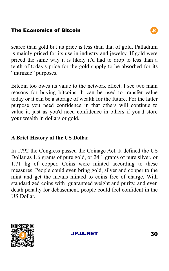scarce than gold but its price is less than that of gold. Palladium is mainly priced for its use in industry and jewelry. If gold were priced the same way it is likely it'd had to drop to less than a tenth of today's price for the gold supply to be absorbed for its "intrinsic" purposes.

Bitcoin too owes its value to the network effect. I see two main reasons for buying bitcoins. It can be used to transfer value today or it can be a storage of wealth for the future. For the latter purpose you need confidence in that others will continue to value it, just as you'd need confidence in others if you'd store your wealth in dollars or gold.

#### **A Brief History of the US Dollar**

In 1792 the Congress passed the Coinage Act. It defined the US Dollar as 1.6 grams of pure gold, or 24.1 grams of pure silver, or 1.71 kg of copper. Coins were minted according to these measures. People could even bring gold, silver and copper to the mint and get the metals minted to coins free of charge. With standardized coins with guaranteed weight and purity, and even death penalty for debasement, people could feel confident in the US Dollar.



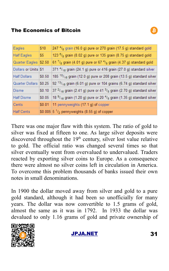| Eagles                | \$10   | 247 <sup>4</sup> / <sub>8</sub> grain (16.0 g) pure or 270 grain (17.5 g) standard gold     |
|-----------------------|--------|---------------------------------------------------------------------------------------------|
| <b>Half Eagles</b>    | \$5    | 123 $\frac{6}{8}$ grain (8.02 g) pure or 135 grain (8.75 g) standard gold                   |
| Quarter Eagles \$2.50 |        | 61 $\frac{7}{8}$ grain (4.01 g) pure or 67 $\frac{4}{8}$ grain (4.37 g) standard gold       |
| Dollars or Units \\$1 |        | 371 $4/18$ grain (24.1 g) pure or 416 grain (27.0 g) standard silver                        |
| <b>Half Dollars</b>   | \$0.50 | 185 <sup>10</sup> / <sub>18</sub> grain (12.0 g) pure or 208 grain (13.5 g) standard silver |
| Quarter Dollars       | \$0.25 | $92^{13}/_{16}$ grain (6.01 g) pure or 104 grains (6.74 g) standard silver                  |
| Disme                 | \$0.10 | 37 $2/18$ grain (2.41 g) pure or 41 $3/5$ grain (2.70 g) standard silver                    |
| <b>Half Disme</b>     | \$0.05 | 18 $\frac{9}{16}$ grain (1.20 g) pure or 20 $\frac{4}{5}$ grain (1.35 g) standard silver    |
| Cents                 | \$0.01 | 11 pennyweights (17.1 g) of copper                                                          |
| <b>Half Cents</b>     |        | \$0.005 $5\frac{1}{2}$ pennyweights (8.55 g) of copper                                      |

There was one major flaw with this system. The ratio of gold to silver was fixed at fifteen to one. As large silver deposits were discovered throughout the  $19<sup>th</sup>$  century, silver lost value relative to gold. The official ratio was changed several times so that silver eventually went from overvalued to undervalued. Traders reacted by exporting silver coins to Europe. As a consequence there were almost no silver coins left in circulation in America. To overcome this problem thousands of banks issued their own notes in small denominations.

In 1900 the dollar moved away from silver and gold to a pure gold standard, although it had been so unofficially for many years. The dollar was now convertible to 1.5 grams of gold, almost the same as it was in 1792. In 1933 the dollar was devalued to only 1.16 grams of gold and private ownership of



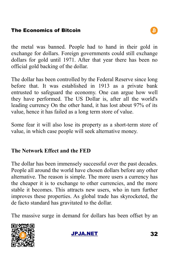the metal was banned. People had to hand in their gold in exchange for dollars. Foreign governments could still exchange dollars for gold until 1971. After that year there has been no official gold backing of the dollar.

The dollar has been controlled by the Federal Reserve since long before that. It was established in 1913 as a private bank entrusted to safeguard the economy. One can argue how well they have performed. The US Dollar is, after all the world's leading currency On the other hand, it has lost about 97% of its value, hence it has failed as a long term store of value.

Some fear it will also lose its property as a short-term store of value, in which case people will seek alternative money.

### **The Network Effect and the FED**

The dollar has been immensely successful over the past decades. People all around the world have chosen dollars before any other alternative. The reason is simple. The more users a currency has the cheaper it is to exchange to other currencies, and the more stable it becomes. This attracts new users, who in turn further improves these properties. As global trade has skyrocketed, the de facto standard has gravitated to the dollar.

The massive surge in demand for dollars has been offset by an



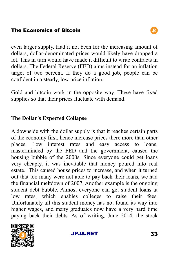even larger supply. Had it not been for the increasing amount of dollars, dollar-denominated prices would likely have dropped a lot. This in turn would have made it difficult to write contracts in dollars. The Federal Reserve (FED) aims instead for an inflation target of two percent. If they do a good job, people can be confident in a steady, low price inflation.

Gold and bitcoin work in the opposite way. These have fixed supplies so that their prices fluctuate with demand.

# **The Dollar's Expected Collapse**

A downside with the dollar supply is that it reaches certain parts of the economy first, hence increase prices there more than other places. Low interest rates and easy access to loans, masterminded by the FED and the government, caused the housing bubble of the 2000s. Since everyone could get loans very cheaply, it was inevitable that money poured into real estate. This caused house prices to increase, and when it turned out that too many were not able to pay back their loans, we had the financial meltdown of 2007. Another example is the ongoing student debt bubble. Almost everyone can get student loans at low rates, which enables colleges to raise their fees. Unfortunately all this student money has not found its way into higher wages, and many graduates now have a very hard time paying back their debts. As of writing, June 2014, the stock



[JPJA.NET](http://jpja.net/) 33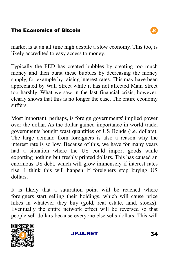market is at an all time high despite a slow economy. This too, is likely accredited to easy access to money.

Typically the FED has created bubbles by creating too much money and then burst these bubbles by decreasing the money supply, for example by raising interest rates. This may have been appreciated by Wall Street while it has not affected Main Street too harshly. What we saw in the last financial crisis, however, clearly shows that this is no longer the case. The entire economy suffers.

Most important, perhaps, is foreign governments' implied power over the dollar. As the dollar gained importance in world trade, governments bought wast quantities of US Bonds (i.e. dollars). The large demand from foreigners is also a reason why the interest rate is so low. Because of this, we have for many years had a situation where the US could import goods while exporting nothing but freshly printed dollars. This has caused an enormous US debt, which will grow immensely if interest rates rise. I think this will happen if foreigners stop buying US dollars.

It is likely that a saturation point will be reached where foreigners start selling their holdings, which will cause price hikes in whatever they buy (gold, real estate, land, stocks). Eventually the entire network effect will be reversed so that people sell dollars because everyone else sells dollars. This will



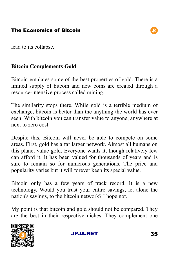lead to its collapse.

#### **Bitcoin Complements Gold**

Bitcoin emulates some of the best properties of gold. There is a limited supply of bitcoin and new coins are created through a resource-intensive process called mining.

The similarity stops there. While gold is a terrible medium of exchange, bitcoin is better than the anything the world has ever seen. With bitcoin you can transfer value to anyone, anywhere at next to zero cost.

Despite this, Bitcoin will never be able to compete on some areas. First, gold has a far larger network. Almost all humans on this planet value gold. Everyone wants it, though relatively few can afford it. It has been valued for thousands of years and is sure to remain so for numerous generations. The price and popularity varies but it will forever keep its special value.

Bitcoin only has a few years of track record. It is a new technology. Would you trust your entire savings, let alone the nation's savings, to the bitcoin network? I hope not.

My point is that bitcoin and gold should not be compared. They are the best in their respective niches. They complement one



[JPJA.NET](http://jpja.net/) 35



B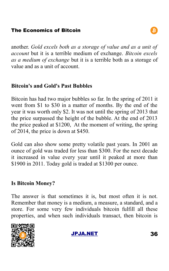another. *Gold excels both as a storage of value and as a unit of account* but it is a terrible medium of exchange. *Bitcoin excels as a medium of exchange* but it is a terrible both as a storage of value and as a unit of account.

#### **Bitcoin's and Gold's Past Bubbles**

Bitcoin has had two major bubbles so far. In the spring of 2011 it went from \$1 to \$30 in a matter of months. By the end of the year it was worth only \$2. It was not until the spring of 2013 that the price surpassed the height of the bubble. At the end of 2013 the price peaked at \$1200, At the moment of writing, the spring of 2014, the price is down at \$450.

Gold can also show some pretty volatile past years. In 2001 an ounce of gold was traded for less than \$300. For the next decade it increased in value every year until it peaked at more than \$1900 in 2011. Today gold is traded at \$1300 per ounce.

#### **Is Bitcoin Money?**

The answer is that sometimes it is, but most often it is not. Remember that money is a medium, a measure, a standard, and a store. For some very few individuals bitcoin fulfill all these properties, and when such individuals transact, then bitcoin is





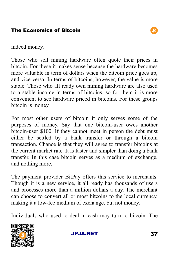

indeed money.

Those who sell mining hardware often quote their prices in bitcoin. For these it makes sense because the hardware becomes more valuable in term of dollars when the bitcoin price goes up, and vice versa. In terms of bitcoins, however, the value is more stable. Those who all ready own mining hardware are also used to a stable income in terms of bitcoins, so for them it is more convenient to see hardware priced in bitcoins. For these groups bitcoin is money.

For most other users of bitcoin it only serves some of the purposes of money. Say that one bitcoin-user owes another bitcoin-user \$100. If they cannot meet in person the debt must either be settled by a bank transfer or through a bitcoin transaction. Chance is that they will agree to transfer bitcoins at the current market rate. It is faster and simpler than doing a bank transfer. In this case bitcoin serves as a medium of exchange, and nothing more.

The payment provider BitPay offers this service to merchants. Though it is a new service, it all ready has thousands of users and processes more than a million dollars a day. The merchant can choose to convert all or most bitcoins to the local currency, making it a low-fee medium of exchange, but not money.

Individuals who used to deal in cash may turn to bitcoin. The

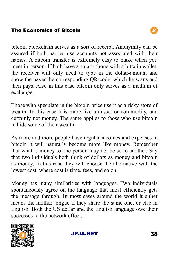bitcoin blockchain serves as a sort of receipt. Anonymity can be assured if both parties use accounts not associated with their names. A bitcoin transfer is extremely easy to make when you meet in person. If both have a smart-phone with a bitcoin wallet, the receiver will only need to type in the dollar-amount and show the payer the corresponding QR-code, which he scans and then pays. Also in this case bitcoin only serves as a medium of exchange.

Those who speculate in the bitcoin price use it as a risky store of wealth. In this case it is more like an asset or commodity, and certainly not money. The same applies to those who use bitcoin to hide some of their wealth.

As more and more people have regular incomes and expenses in bitcoin it will naturally become more like money. Remember that what is money to one person may not be so to another. Say that two individuals both think of dollars as money and bitcoin as money. In this case they will choose the alternative with the lowest cost, where cost is time, fees, and so on.

Money has many similarities with languages. Two individuals spontaneously agree on the language that most efficiently gets the message through. In most cases around the world it either means the mother tongue if they share the same one, or else in English. Both the US dollar and the English language owe their successes to the network effect.



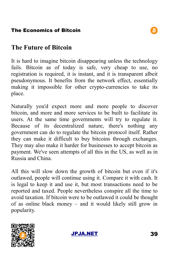# **The Future of Bitcoin**

It is hard to imagine bitcoin disappearing unless the technology fails. Bitcoin as of today is safe, very cheap to use, no registration is required, it is instant, and it is transparent albeit pseudonymous. It benefits from the network effect, essentially making it impossible for other crypto-currencies to take its place.

Naturally you'd expect more and more people to discover bitcoin, and more and more services to be built to facilitate its users. At the same time governments will try to regulate it. Because of its decentralized nature, there's nothing any government can do to regulate the bitcoin protocol itself. Rather they can make it difficult to buy bitcoins through exchanges. They may also make it harder for businesses to accept bitcoin as payment. We've seen attempts of all this in the US, as well as in Russia and China.

All this will slow down the growth of bitcoin but even if it's outlawed, people will continue using it. Compare it with cash. It is legal to keep it and use it, but most transactions need to be reported and taxed. People nevertheless conspire all the time to avoid taxation. If bitcoin were to be outlawed it could be thought of as online black money – and it would likely still grow in popularity.



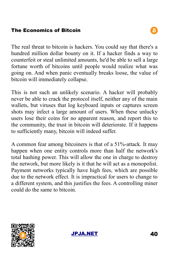The real threat to bitcoin is hackers. You could say that there's a hundred million dollar bounty on it. If a hacker finds a way to counterfeit or steal unlimited amounts, he'd be able to sell a large fortune worth of bitcoins until people would realize what was going on. And when panic eventually breaks loose, the value of bitcoin will immediately collapse.

This is not such an unlikely scenario. A hacker will probably never be able to crack the protocol itself, neither any of the main wallets, but viruses that log keyboard inputs or captures screen shots may infect a large amount of users. When these unlucky users lose their coins for no apparent reason, and report this to the community, the trust in bitcoin will deteriorate. If it happens to sufficiently many, bitcoin will indeed suffer.

A common fear among bitcoiners is that of a 51%-attack. It may happen when one entity controls more than half the network's total hashing power. This will allow the one in charge to destroy the network, but more likely is it that he will act as a monopolist. Payment networks typically have high fees, which are possible due to the network effect. It is impractical for users to change to a different system, and this justifies the fees. A controlling miner could do the same to bitcoin.



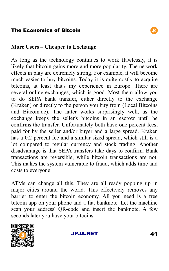#### **More Users – Cheaper to Exchange**

As long as the technology continues to work flawlessly, it is likely that bitcoin gains more and more popularity. The network effects in play are extremely strong. For example, it will become much easier to buy bitcoins. Today it is quite costly to acquire bitcoins, at least that's my experience in Europe. There are several online exchanges, which is good. Most them allow you to do SEPA bank transfer, either directly to the exchange (Kraken) or directly to the person you buy from (Local Bitcoins and Bitcoin.de). The latter works surprisingly well, as the exchange keeps the seller's bitcoins in an escrow until he confirms the transfer. Unfortunately both have one percent fees, paid for by the seller and/or buyer and a large spread. Kraken has a 0.2 percent fee and a similar sized spread, which still is a lot compared to regular currency and stock trading. Another disadvantage is that SEPA transfers take days to confirm. Bank transactions are reversible, while bitcoin transactions are not. This makes the system vulnerable to fraud, which adds time and costs to everyone.

ATMs can change all this. They are all ready popping up in major cities around the world. This effectively removes any barrier to enter the bitcoin economy. All you need is a free bitcoin app on your phone and a fiat banknote. Let the machine scan your address' QR-code and insert the banknote. A few seconds later you have your bitcoins.



[JPJA.NET](http://jpja.net/) 41

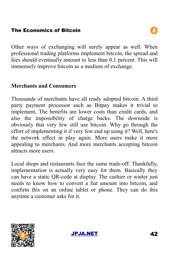Other ways of exchanging will surely appear as well. When professional trading platforms implement bitcoin, the spread and fees should eventually amount to less than 0.1 percent. This will immensely improve bitcoin as a medium of exchange.

#### **Merchants and Consumers**

Thousands of merchants have all ready adopted bitcoin. A third party payment processor such as Bitpay makes it trivial to implement, The benefits are lower costs than credit cards, and also the impossibility of charge backs. The downside is obviously that very few still use bitcoin. Why go through the effort of implementing it if very few end up using it? Well, here's the network effect in play again. More users make it more appealing to merchants. And more merchants accepting bitcoin attracts more users.

Local shops and restaurants face the same trade-off. Thankfully, implementation is actually very easy for them. Basically they can have a static QR-code at display. The cashier or waiter just needs to know how to convert a fiat amount into bitcoin, and confirm this on an online tablet or phone. They can do this anytime a customer asks for it.



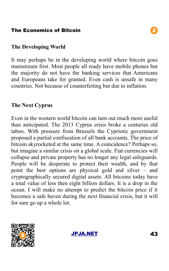#### **The Developing World**

It may perhaps be in the developing world where bitcoin goes mainstream first. Most people all ready have mobile phones but the majority do not have the banking services that Americans and Europeans take for granted. Even cash is unsafe in many countries. Not because of counterfeiting but due to inflation.

### **The Next Cyprus**

Even in the western world bitcoin can turn out much more useful than anticipated. The 2013 Cyprus crisis broke a centuries old taboo. With pressure from Brussels the Cypriotic government proposed a partial confiscation of all bank accounts. The price of bitcoin skyrocketed at the same time. A coincidence? Perhaps so, but imagine a similar crisis on a global scale. Fiat currencies will collapse and private property has no longer any legal safeguards. People will be desperate to protect their wealth, and by that point the best options are physical gold and silver – and cryptographically secured digital assets. All bitcoins today have a total value of less then eight billion dollars. It is a drop in the ocean. I will make no attempt to predict the bitcoin price if it becomes a safe haven during the next financial crisis, but it will for sure go up a whole lot.



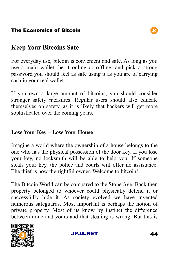# **Keep Your Bitcoins Safe**

For everyday use, bitcoin is convenient and safe. As long as you use a main wallet, be it online or offline, and pick a strong password you should feel as safe using it as you are of carrying cash in your real wallet.

If you own a large amount of bitcoins, you should consider stronger safety measures. Regular users should also educate themselves on safety, as it is likely that hackers will get more sophisticated over the coming years.

#### **Lose Your Key – Lose Your House**

Imagine a world where the ownership of a house belongs to the one who has the physical possession of the door key. If you lose your key, no locksmith will be able to help you. If someone steals your key, the police and courts will offer no assistance. The thief is now the rightful owner. Welcome to bitcoin!

The Bitcoin World can be compared to the Stone Age. Back then property belonged to whoever could physically defend it or successfully hide it. As society evolved we have invented numerous safeguards. Most important is perhaps the notion of private property. Most of us know by instinct the difference between mine and yours and that stealing is wrong. But this is



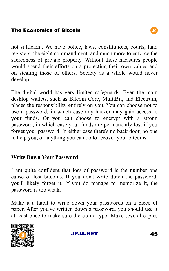not sufficient. We have police, laws, constitutions, courts, land registers, the eight commandment, and much more to enforce the sacredness of private property. Without these measures people would spend their efforts on a protecting their own values and on stealing those of others. Society as a whole would never develop.

The digital world has very limited safeguards. Even the main desktop wallets, such as Bitcoin Core, MultiBit, and Electrum, places the responsibility entirely on you. You can choose not to use a password, in which case any hacker may gain access to your funds. Or you can choose to encrypt with a strong password, in which case your funds are permanently lost if you forget your password. In either case there's no back door, no one to help you, or anything you can do to recover your bitcoins.

#### **Write Down Your Password**

I am quite confident that loss of password is the number one cause of lost bitcoins. If you don't write down the password, you'll likely forget it. If you do manage to memorize it, the password is too weak.

Make it a habit to write down your passwords on a piece of paper. After you've written down a password, you should use it at least once to make sure there's no typo. Make several copies



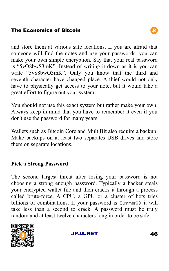and store them at various safe locations. If you are afraid that someone will find the notes and use your passwords, you can make your own simple encryption. Say that your real password is "5vO8bw\$3mK". Instead of writing it down as it is you can write "5v\$8bwO3mK". Only you know that the third and seventh character have changed place. A thief would not only have to physically get access to your note, but it would take a great effort to figure out your system.

You should not use this exact system but rather make your own. Always keep in mind that you have to remember it even if you don't use the password for many years.

Wallets such as Bitcoin Core and MultiBit also require a backup. Make backups on at least two separates USB drives and store them on separate locations.

#### **Pick a Strong Password**

The second largest threat after losing your password is not choosing a strong enough password. Typically a hacker steals your encrypted wallet file and then cracks it through a process called brute-force. A CPU, a GPU or a cluster of bots tries billions of combinations. If your password is Summer69 it will take less than a second to crack. A password must be truly random and at least twelve characters long in order to be safe.



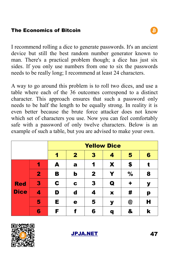I recommend rolling a dice to generate passwords. It's an ancient device but still the best random number generator known to man. There's a practical problem though; a dice has just six sides. If you only use numbers from one to six the passwords needs to be really long; I recommend at least 24 characters.

A way to go around this problem is to roll two dices, and use a table where each of the 36 outcomes correspond to a distinct character. This approach ensures that such a password only needs to be half the length to be equally strong. In reality it is even better because the brute force attacker does not know which set of characters you use. Now you can feel comfortably safe with a password of only twelve characters. Below is an example of such a table, but you are advised to make your own.

|                           |   | <b>Yellow Dice</b> |              |              |             |    |   |
|---------------------------|---|--------------------|--------------|--------------|-------------|----|---|
|                           |   | 1                  | $\mathbf{2}$ | 3            | 4           | 5  | 6 |
| <b>Red</b><br><b>Dice</b> | 1 | A                  | a            | 1            | X           | \$ | t |
|                           | 2 | в                  | b            | $\mathbf{2}$ | Y           | %  | 8 |
|                           | 3 | C                  | C            | 3            | Q           | ٠  | У |
|                           | 4 | D                  | d            | 4            | $\mathbf x$ | #  | p |
|                           | 5 | Е                  | е            | 5            | У           | @  | Н |
|                           | 6 | F                  |              | 6            | q           | &  | k |



[JPJA.NET](http://jpja.net/) 47

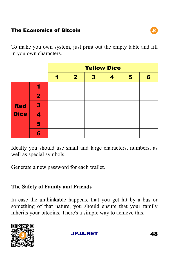To make you own system, just print out the empty table and fill in you own characters.

|                           |                         | <b>Yellow Dice</b> |              |              |                  |   |   |
|---------------------------|-------------------------|--------------------|--------------|--------------|------------------|---|---|
|                           |                         |                    | $\mathbf{2}$ | $\mathbf{3}$ | $\boldsymbol{c}$ | 5 | 6 |
| <b>Red</b><br><b>Dice</b> |                         |                    |              |              |                  |   |   |
|                           | $\overline{\mathbf{2}}$ |                    |              |              |                  |   |   |
|                           | 3                       |                    |              |              |                  |   |   |
|                           | 4                       |                    |              |              |                  |   |   |
|                           | 5                       |                    |              |              |                  |   |   |
|                           | 6                       |                    |              |              |                  |   |   |

Ideally you should use small and large characters, numbers, as well as special symbols.

Generate a new password for each wallet.

#### **The Safety of Family and Friends**

In case the unthinkable happens, that you get hit by a bus or something of that nature, you should ensure that your family inherits your bitcoins. There's a simple way to achieve this.



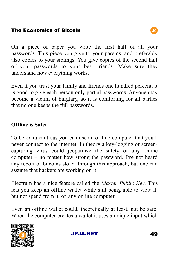On a piece of paper you write the first half of all your passwords. This piece you give to your parents, and preferably also copies to your siblings. You give copies of the second half of your passwords to your best friends. Make sure they understand how everything works.

Even if you trust your family and friends one hundred percent, it is good to give each person only partial passwords. Anyone may become a victim of burglary, so it is comforting for all parties that no one keeps the full passwords.

# **Offline is Safer**

To be extra cautious you can use an offline computer that you'll never connect to the internet. In theory a key-logging or screencapturing virus could jeopardize the safety of any online computer – no matter how strong the password. I've not heard any report of bitcoins stolen through this approach, but one can assume that hackers are working on it.

Electrum has a nice feature called the *Master Public Key*. This lets you keep an offline wallet while still being able to view it, but not spend from it, on any online computer.

Even an offline wallet could, theoretically at least, not be safe. When the computer creates a wallet it uses a unique input which



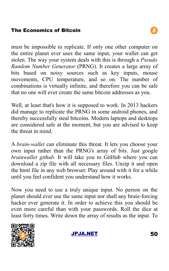must be impossible to replicate. If only one other computer on the entire planet ever uses the same input, your wallet can get stolen. The way your system deals with this is through a *Pseudo Random Number Generator* (PRNG). It creates a large array of bits based on noisy sources such as key inputs, mouse movements, CPU temperature, and so on. The number of combinations is virtually infinite, and therefore you can be safe that no one will ever create the same bitcoin addresses as you.

Well, at least that's how it is supposed to work. In 2013 hackers did manage to replicate the PRNG in some android phones, and thereby successfully steal bitcoins. Modern laptops and desktops are considered safe at the moment, but you are advised to keep the threat in mind.

A *brain-wallet* can eliminate this threat. It lets you choose your own input rather than the PRNG's array of bits. Just google *brainwallet github.* It will take you to GitHub where you can download a zip file with all necessary files. Unzip it and open the html file in any web browser. Play around with it for a while until you feel confident you understand how it works.

Now you need to use a truly unique input. No person on the planet should ever use the same input nor shall any brute-forcing hacker ever generate it. In order to achieve this you should be even more careful than with your passwords. Roll the dice at least forty times. Write down the array of results as the input. To



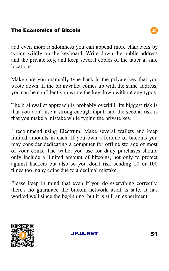add even more randomness you can append more characters by typing wildly on the keyboard. Write down the public address and the private key, and keep several copies of the latter at safe locations.

Make sure you manually type back in the private key that you wrote down. If the brainwallet comes up with the same address, you can be confident you wrote the key down without any typos.

The brainwallet approach is probably overkill. Its biggest risk is that you don't use a strong enough input, and the second risk is that you make a mistake while typing the private key.

I recommend using Electrum. Make several wallets and keep limited amounts in each. If you own a fortune of bitcoins you may consider dedicating a computer for offline storage of most of your coins. The wallet you use for daily purchases should only include a limited amount of bitcoins, not only to protect against hackers but also so you don't risk sending 10 or 100 times too many coins due to a decimal mistake.

Please keep in mind that even if you do everything correctly, there's no guarantee the bitcoin network itself is safe. It has worked well since the beginning, but it is still an experiment.





B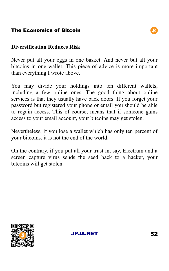#### **Diversification Reduces Risk**

Never put all your eggs in one basket. And never but all your bitcoins in one wallet. This piece of advice is more important than everything I wrote above.

You may divide your holdings into ten different wallets, including a few online ones. The good thing about online services is that they usually have back doors. If you forget your password but registered your phone or email you should be able to regain access. This of course, means that if someone gains access to your email account, your bitcoins may get stolen.

Nevertheless, if you lose a wallet which has only ten percent of your bitcoins, it is not the end of the world.

On the contrary, if you put all your trust in, say, Electrum and a screen capture virus sends the seed back to a hacker, your bitcoins will get stolen.